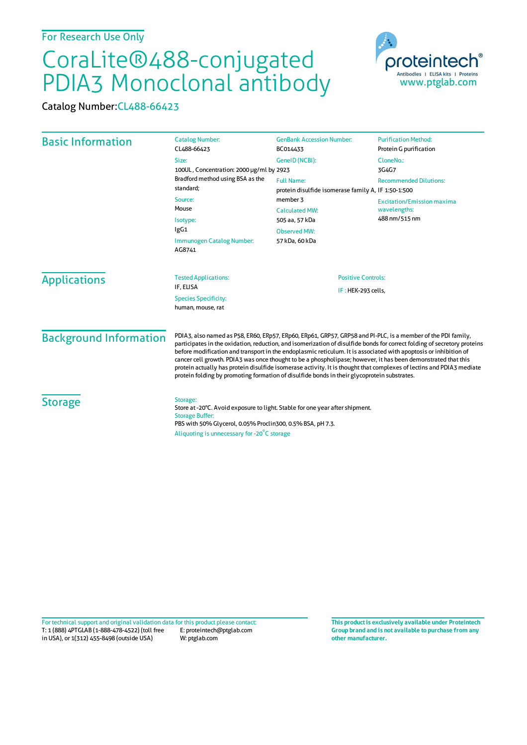## CoraLite®488-conjugated PDIA3 Monoclonal antibody

Catalog Number:CL488-66423

| <b>Basic Information</b>      | <b>Catalog Number:</b><br>CL488-66423                                                                                                                                                                                                                                                                                                                                                                                                                                                                                                                                                                                                                                                                | <b>GenBank Accession Number:</b><br>BC014433                               | <b>Purification Method:</b><br>Protein G purification              |                                     |                                          |                           |
|-------------------------------|------------------------------------------------------------------------------------------------------------------------------------------------------------------------------------------------------------------------------------------------------------------------------------------------------------------------------------------------------------------------------------------------------------------------------------------------------------------------------------------------------------------------------------------------------------------------------------------------------------------------------------------------------------------------------------------------------|----------------------------------------------------------------------------|--------------------------------------------------------------------|-------------------------------------|------------------------------------------|---------------------------|
|                               | Size:<br>100UL, Concentration: 2000 µg/ml by 2923                                                                                                                                                                                                                                                                                                                                                                                                                                                                                                                                                                                                                                                    | GeneID (NCBI):                                                             | CloneNo.:<br>3G4G7                                                 |                                     |                                          |                           |
|                               | Bradford method using BSA as the<br>standard;<br>Source:<br>Mouse<br>Isotype:<br>lgG1                                                                                                                                                                                                                                                                                                                                                                                                                                                                                                                                                                                                                | <b>Full Name:</b><br>protein disulfide isomerase family A, IF 1:50-1:500   | <b>Recommended Dilutions:</b>                                      |                                     |                                          |                           |
|                               |                                                                                                                                                                                                                                                                                                                                                                                                                                                                                                                                                                                                                                                                                                      | member 3<br><b>Calculated MW:</b><br>505 aa, 57 kDa<br><b>Observed MW:</b> | <b>Excitation/Emission maxima</b><br>wavelengths:<br>488 nm/515 nm |                                     |                                          |                           |
|                               |                                                                                                                                                                                                                                                                                                                                                                                                                                                                                                                                                                                                                                                                                                      |                                                                            |                                                                    | Immunogen Catalog Number:<br>AG8741 | 57 kDa, 60 kDa                           |                           |
|                               |                                                                                                                                                                                                                                                                                                                                                                                                                                                                                                                                                                                                                                                                                                      |                                                                            |                                                                    | <b>Applications</b>                 | <b>Tested Applications:</b><br>IF, ELISA | <b>Positive Controls:</b> |
|                               | IF: HEK-293 cells,<br><b>Species Specificity:</b><br>human, mouse, rat                                                                                                                                                                                                                                                                                                                                                                                                                                                                                                                                                                                                                               |                                                                            |                                                                    |                                     |                                          |                           |
| <b>Background Information</b> | PDIA3, also named as P58, ER60, ERp57, ERp60, ERp61, GRP57, GRP58 and PI-PLC, is a member of the PDI family,<br>participates in the oxidation, reduction, and isomerization of disulfide bonds for correct folding of secretory proteins<br>before modification and transport in the endoplasmic reticulum. It is associated with apoptosis or inhibition of<br>cancer cell growth. PDIA3 was once thought to be a phospholipase; however, it has been demonstrated that this<br>protein actually has protein disulfide isomerase activity. It is thought that complexes of lectins and PDIA3 mediate<br>protein folding by promoting formation of disulfide bonds in their glycoprotein substrates. |                                                                            |                                                                    |                                     |                                          |                           |
| <b>Storage</b>                | Storage:<br>Store at -20°C. Avoid exposure to light. Stable for one year after shipment.<br><b>Storage Buffer:</b><br>PBS with 50% Glycerol, 0.05% Proclin300, 0.5% BSA, pH 7.3.<br>Aliquoting is unnecessary for -20°C storage                                                                                                                                                                                                                                                                                                                                                                                                                                                                      |                                                                            |                                                                    |                                     |                                          |                           |

T: 1 (888) 4PTGLAB (1-888-478-4522) (toll free in USA), or 1(312) 455-8498 (outside USA) E: proteintech@ptglab.com W: ptglab.com Fortechnical support and original validation data forthis product please contact: **This productis exclusively available under Proteintech**

**Group brand and is not available to purchase from any other manufacturer.**